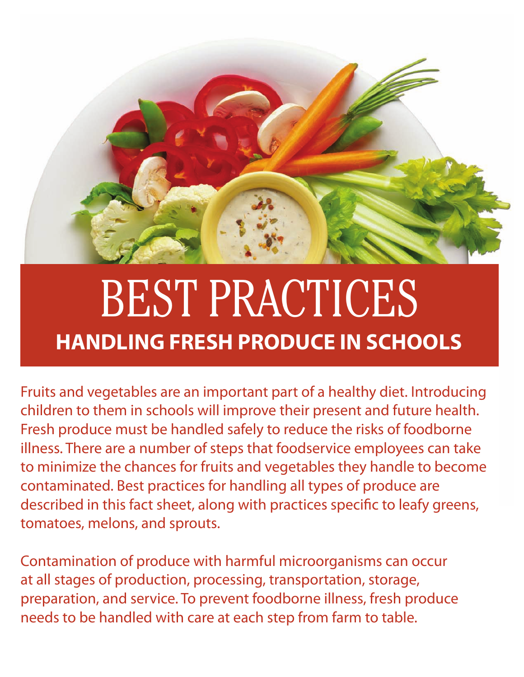

# BEST PRACTICES **HANDLING FRESH PRODUCE IN SCHOOLS**

Fruits and vegetables are an important part of a healthy diet. Introducing children to them in schools will improve their present and future health. Fresh produce must be handled safely to reduce the risks of foodborne illness. There are a number of steps that foodservice employees can take to minimize the chances for fruits and vegetables they handle to become contaminated. Best practices for handling all types of produce are described in this fact sheet, along with practices specific to leafy greens, tomatoes, melons, and sprouts.

Contamination of produce with harmful microorganisms can occur at all stages of production, processing, transportation, storage, preparation, and service. To prevent foodborne illness, fresh produce needs to be handled with care at each step from farm to table.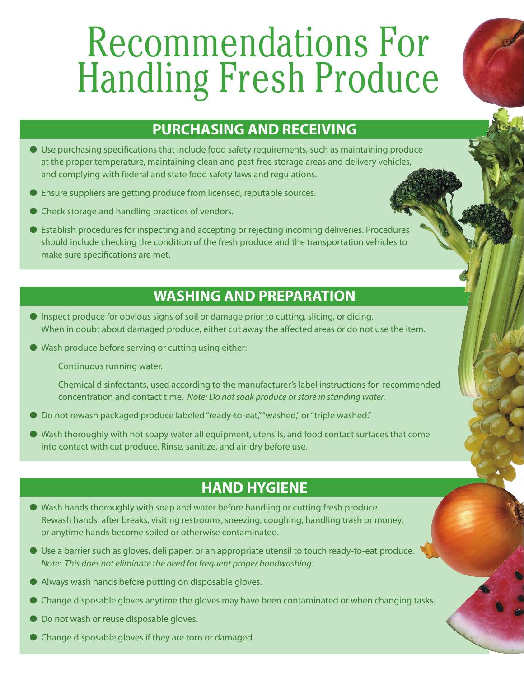# Recommendations For Handling Fresh Produce

### **PURCHASING AND RECEIVING**

- O Use purchasing specifications that include food safety requirements, such as maintaining produce at the proper temperature, maintaining clean and pest-free storage areas and delivery vehicles, and complying with federal and state food safety laws and regulations.
- O Ensure suppliers are getting produce from licensed, reputable sources.
- O Check storage and handling practices of vendors.
- O Establish procedures for inspecting and accepting or rejecting incoming deliveries. Procedures should include checking the condition of the fresh produce and the transportation vehicles to make sure specifications are met.

### **WASHING AND PREPARATION**

- O Inspect produce for obvious signs of soil or damage prior to cutting, slicing, or dicing. When in doubt about damaged produce, either cut away the affected areas or do not use the item.
- O Wash produce before serving or cutting using either:

Continuous running water.

Chemical disinfectants, used according to the manufacturer's label instructions for recommended concentration and contact time. *Note: Do not soak produce or store in standing water.* 

- Do not rewash packaged produce labeled "ready-to-eat," "washed," or "triple washed."
- O Wash thoroughly with hot soapy water all equipment, utensils, and food contact surfaces that come into contact with cut produce. Rinse, sanitize, and air-dry before use.

#### **HAND HYGIENE**

- O Wash hands thoroughly with soap and water before handling or cutting fresh produce. Rewash hands after breaks, visiting restrooms, sneezing, coughing, handling trash or money, or anytime hands become soiled or otherwise contaminated.
- O Use a barrier such as gloves, deli paper, or an appropriate utensil to touch ready-to-eat produce. *Note: This does not eliminate the need for frequent proper handwashing.*
- O Always wash hands before putting on disposable gloves.
- O Change disposable gloves anytime the gloves may have been contaminated or when changing tasks.
- $\bullet$  Do not wash or reuse disposable gloves.
- O Change disposable gloves if they are torn or damaged.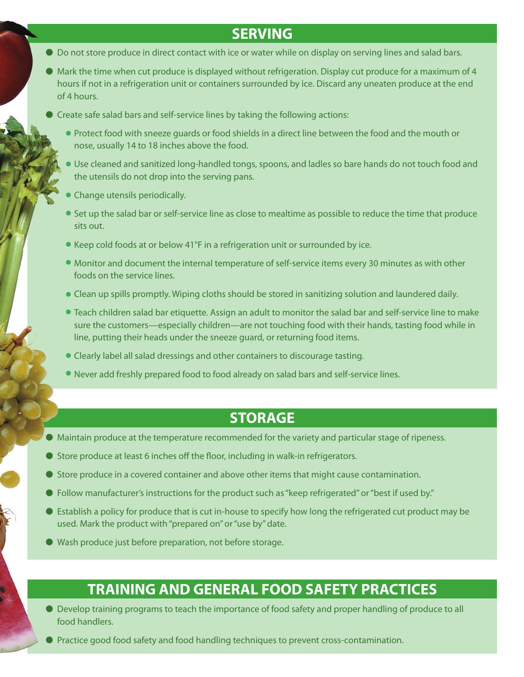#### **SERVING**

- O Do not store produce in direct contact with ice or water while on display on serving lines and salad bars.
- O Mark the time when cut produce is displayed without refrigeration. Display cut produce for a maximum of 4 hours if not in a refrigeration unit or containers surrounded by ice. Discard any uneaten produce at the end of 4 hours.
- Greate safe salad bars and self-service lines by taking the following actions:
	- Protect food with sneeze guards or food shields in a direct line between the food and the mouth or nose, usually 14 to 18 inches above the food.
	- Use cleaned and sanitized long-handled tongs, spoons, and ladles so bare hands do not touch food and the utensils do not drop into the serving pans.
	- Change utensils periodically.
	- Set up the salad bar or self-service line as close to mealtime as possible to reduce the time that produce sits out.
	- Keep cold foods at or below 41°F in a refrigeration unit or surrounded by ice.
	- Monitor and document the internal temperature of self-service items every 30 minutes as with other foods on the service lines.
	- Clean up spills promptly. Wiping cloths should be stored in sanitizing solution and laundered daily.
	- Teach children salad bar etiquette. Assign an adult to monitor the salad bar and self-service line to make sure the customers—especially children—are not touching food with their hands, tasting food while in line, putting their heads under the sneeze guard, or returning food items.
	- Clearly label all salad dressings and other containers to discourage tasting.
	- Never add freshly prepared food to food already on salad bars and self-service lines.

#### **STORAGE**

- O Maintain produce at the temperature recommended for the variety and particular stage of ripeness.
- O Store produce at least 6 inches off the floor, including in walk-in refrigerators.
- O Store produce in a covered container and above other items that might cause contamination.
- O Follow manufacturer's instructions for the product such as "keep refrigerated" or "best if used by."
- O Establish a policy for produce that is cut in-house to specify how long the refrigerated cut product may be used. Mark the product with "prepared on" or "use by" date.
- O Wash produce just before preparation, not before storage.

### **TRAINING AND GENERAL FOOD SAFETY PRACTICES**

- O Develop training programs to teach the importance of food safety and proper handling of produce to all food handlers.
- O Practice good food safety and food handling techniques to prevent cross-contamination.